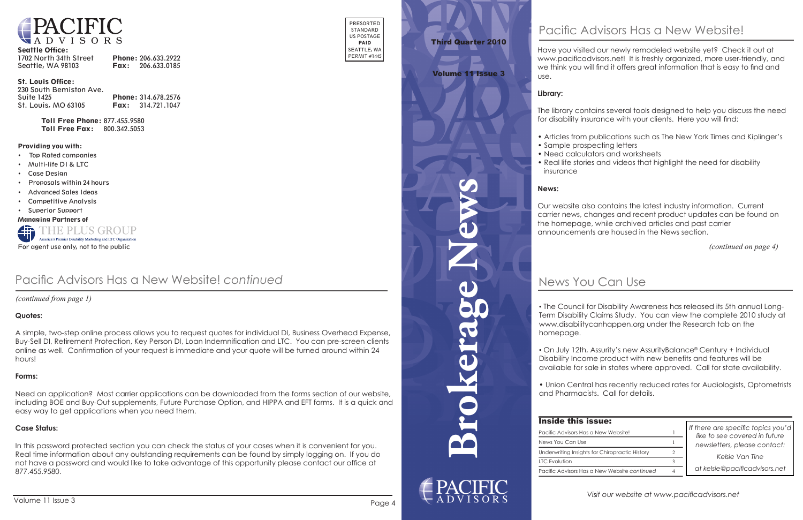

#### Seattle Office:

| 1702 North 34th Street | Phone: 206.633.2922      |
|------------------------|--------------------------|
| Seattle, WA 98103      | <b>Fax:</b> 206.633.0185 |

#### St. Louis Office:

| 230 South Bemiston Ave. |                            |
|-------------------------|----------------------------|
| <b>Suite 1425</b>       | <b>Phone: 314.678.2576</b> |
| St. Louis, MO 63105     | <b>Fax:</b> $314.721.1047$ |

Toll Free Phone: 877.455.9580 Toll Free Fax: 800.342.5053

PRESORTED STANDARD US POSTAGE PAID SEATTLE, WA PERMIT #1445

#### Providing you with:

- Top Rated companies
- Multi-life DI & LTC
- Case Design
- Proposals within 24 hours
- Advanced Sales Ideas
- Competitive Analysis
- Superior Support

Managing Partners of



**Brokerage News**



# News You Can Use

| ssue:<br>a New Website!  |                | If there are specific topics you'd<br>like to see covered in future |  |
|--------------------------|----------------|---------------------------------------------------------------------|--|
|                          |                | newsletters, please contact:                                        |  |
| for Chiropractic History | 2              | Kelsie Van Tine                                                     |  |
|                          |                |                                                                     |  |
| a New Website continued  | $\overline{4}$ | at kelsie@pacificadvisors.net                                       |  |

# Third Quarter 2010

## Volume 11 Issue 3

*(continued on page 4)*

Have you visited our newly remodeled website yet? Check it out at www.pacificadvisors.net! It is freshly organized, more user-friendly, and we think you will find it offers great information that is easy to find and use.

#### **Library:**

The library contains several tools designed to help you discuss the need for disability insurance with your clients. Here you will find:

- Articles from publications such as The New York Times and Kiplinger's • Sample prospecting letters
- 
- Need calculators and worksheets
- insurance

• Real life stories and videos that highlight the need for disability

#### **News:**

Our website also contains the latest industry information. Current carrier news, changes and recent product updates can be found on the homepage, while archived articles and past carrier announcements are housed in the News section.

• Buy-Sell DI, Retirement Protection, Key Person DI, Loan Indemnification and LTC. You can pre-screen clients A simple, two-step online process allows you to request quotes for individual DI, Business Overhead Expense, online as well. Confirmation of your request is immediate and your quote will be turned around within 24 hours!

• The Council for Disability Awareness has released its 5th annual Long-Term Disability Claims Study. You can view the complete 2010 study at www.disabilitycanhappen.org under the Research tab on the

homepage.

• On July 12th, Assurity's new AssurityBalance® Century + Individual Disability Income product with new benefits and features will be available for sale in states where approved. Call for state availability.

• Union Central has recently reduced rates for Audiologists, Optometrists and Pharmacists. Call for details.

## **Inside this is**

Pacific Advisors Has a News You Can Use Underwriting Insights LTC Evolution Pacific Advisors Has a

 *(continued from page 1)*

## Pacific Advisors Has a New Website! *continued*

#### **Quotes:**

#### **Forms:**

 Real time information about any outstanding requirements can be found by simply logging on. If you do In this password protected section you can check the status of your cases when it is convenient for you. not have a password and would like to take advantage of this opportunity please contact our office at 877.455.9580.

Need an application? Most carrier applications can be downloaded from the forms section of our website, including BOE and Buy-Out supplements, Future Purchase Option, and HIPPA and EFT forms. It is a quick and easy way to get applications when you need them.

#### **Case Status:**